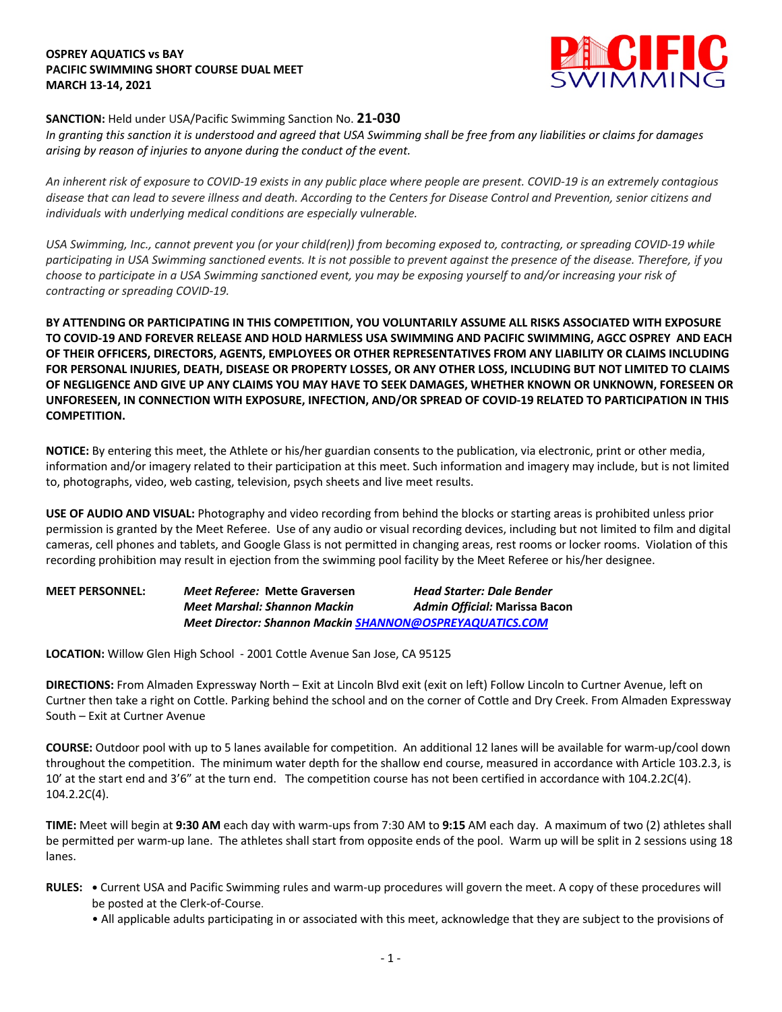## **OSPREY AQUATICS vs BAY PACIFIC SWIMMING SHORT COURSE DUAL MEET MARCH 13-14, 2021**



## **SANCTION:** Held under USA/Pacific Swimming Sanction No. **21-030**

*In granting this sanction it is understood and agreed that USA Swimming shall be free from any liabilities or claims for damages arising by reason of injuries to anyone during the conduct of the event.* 

*An inherent risk of exposure to COVID-19 exists in any public place where people are present. COVID-19 is an extremely contagious disease that can lead to severe illness and death. According to the Centers for Disease Control and Prevention, senior citizens and individuals with underlying medical conditions are especially vulnerable.*

*USA Swimming, Inc., cannot prevent you (or your child(ren)) from becoming exposed to, contracting, or spreading COVID-19 while participating in USA Swimming sanctioned events. It is not possible to prevent against the presence of the disease. Therefore, if you choose to participate in a USA Swimming sanctioned event, you may be exposing yourself to and/or increasing your risk of contracting or spreading COVID-19.*

**BY ATTENDING OR PARTICIPATING IN THIS COMPETITION, YOU VOLUNTARILY ASSUME ALL RISKS ASSOCIATED WITH EXPOSURE TO COVID-19 AND FOREVER RELEASE AND HOLD HARMLESS USA SWIMMING AND PACIFIC SWIMMING, AGCC OSPREY AND EACH OF THEIR OFFICERS, DIRECTORS, AGENTS, EMPLOYEES OR OTHER REPRESENTATIVES FROM ANY LIABILITY OR CLAIMS INCLUDING FOR PERSONAL INJURIES, DEATH, DISEASE OR PROPERTY LOSSES, OR ANY OTHER LOSS, INCLUDING BUT NOT LIMITED TO CLAIMS OF NEGLIGENCE AND GIVE UP ANY CLAIMS YOU MAY HAVE TO SEEK DAMAGES, WHETHER KNOWN OR UNKNOWN, FORESEEN OR UNFORESEEN, IN CONNECTION WITH EXPOSURE, INFECTION, AND/OR SPREAD OF COVID-19 RELATED TO PARTICIPATION IN THIS COMPETITION.**

**NOTICE:** By entering this meet, the Athlete or his/her guardian consents to the publication, via electronic, print or other media, information and/or imagery related to their participation at this meet. Such information and imagery may include, but is not limited to, photographs, video, web casting, television, psych sheets and live meet results.

**USE OF AUDIO AND VISUAL:** Photography and video recording from behind the blocks or starting areas is prohibited unless prior permission is granted by the Meet Referee. Use of any audio or visual recording devices, including but not limited to film and digital cameras, cell phones and tablets, and Google Glass is not permitted in changing areas, rest rooms or locker rooms. Violation of this recording prohibition may result in ejection from the swimming pool facility by the Meet Referee or his/her designee.

| <b>MEET PERSONNEL:</b> | Meet Referee: Mette Graversen                                   | <b>Head Starter: Dale Bender</b> |
|------------------------|-----------------------------------------------------------------|----------------------------------|
|                        | <b>Meet Marshal: Shannon Mackin</b>                             | Admin Official: Marissa Bacon    |
|                        | <b>Meet Director: Shannon Mackin SHANNON@OSPREYAQUATICS.COM</b> |                                  |

**LOCATION:** Willow Glen High School - 2001 Cottle Avenue San Jose, CA 95125

**DIRECTIONS:** From Almaden Expressway North – Exit at Lincoln Blvd exit (exit on left) Follow Lincoln to Curtner Avenue, left on Curtner then take a right on Cottle. Parking behind the school and on the corner of Cottle and Dry Creek. From Almaden Expressway South – Exit at Curtner Avenue

**COURSE:** Outdoor pool with up to 5 lanes available for competition. An additional 12 lanes will be available for warm-up/cool down throughout the competition. The minimum water depth for the shallow end course, measured in accordance with Article 103.2.3, is 10' at the start end and 3'6" at the turn end. The competition course has not been certified in accordance with 104.2.2C(4). 104.2.2C(4).

**TIME:** Meet will begin at **9:30 AM** each day with warm-ups from 7:30 AM to **9:15** AM each day. A maximum of two (2) athletes shall be permitted per warm-up lane. The athletes shall start from opposite ends of the pool. Warm up will be split in 2 sessions using 18 lanes.

- **RULES: •** Current USA and Pacific Swimming rules and warm-up procedures will govern the meet. A copy of these procedures will be posted at the Clerk-of-Course.
	- All applicable adults participating in or associated with this meet, acknowledge that they are subject to the provisions of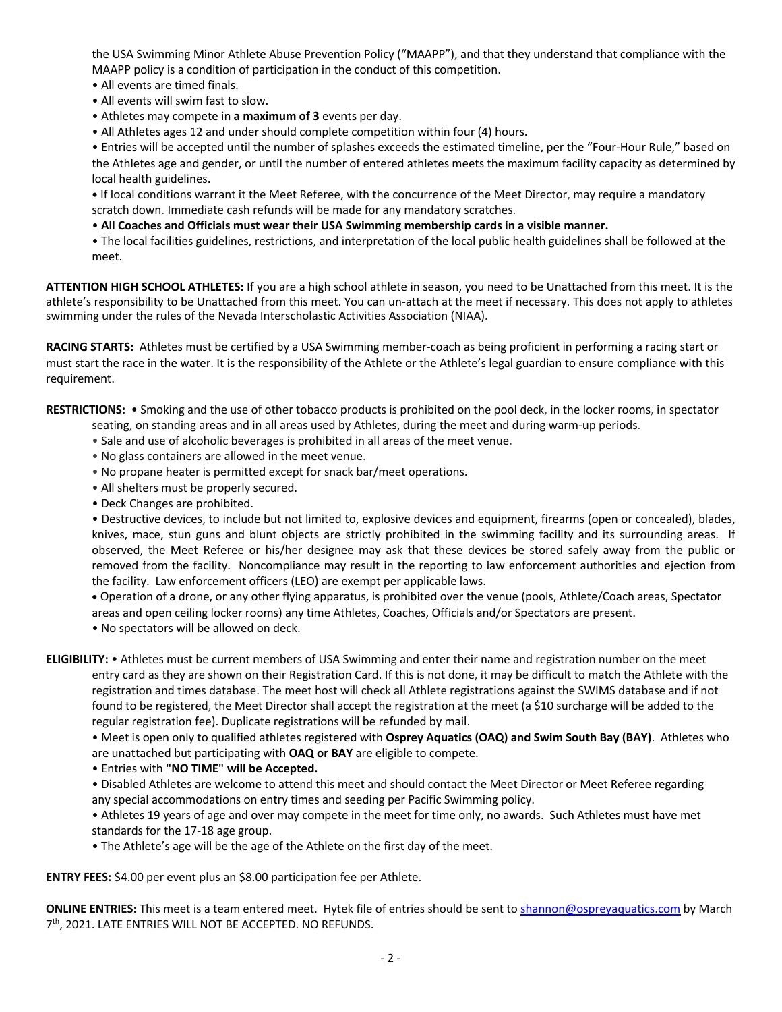the USA Swimming Minor Athlete Abuse Prevention Policy ("MAAPP"), and that they understand that compliance with the MAAPP policy is a condition of participation in the conduct of this competition.

- All events are timed finals.
- All events will swim fast to slow.
- Athletes may compete in **a maximum of 3** events per day.
- All Athletes ages 12 and under should complete competition within four (4) hours.

• Entries will be accepted until the number of splashes exceeds the estimated timeline, per the "Four-Hour Rule," based on the Athletes age and gender, or until the number of entered athletes meets the maximum facility capacity as determined by local health guidelines.

**•** If local conditions warrant it the Meet Referee, with the concurrence of the Meet Director, may require a mandatory scratch down. Immediate cash refunds will be made for any mandatory scratches.

- **All Coaches and Officials must wear their USA Swimming membership cards in a visible manner.**
- The local facilities guidelines, restrictions, and interpretation of the local public health guidelines shall be followed at the meet.

**ATTENTION HIGH SCHOOL ATHLETES:** If you are a high school athlete in season, you need to be Unattached from this meet. It is the athlete's responsibility to be Unattached from this meet. You can un-attach at the meet if necessary. This does not apply to athletes swimming under the rules of the Nevada Interscholastic Activities Association (NIAA).

**RACING STARTS:** Athletes must be certified by a USA Swimming member-coach as being proficient in performing a racing start or must start the race in the water. It is the responsibility of the Athlete or the Athlete's legal guardian to ensure compliance with this requirement.

**RESTRICTIONS:** • Smoking and the use of other tobacco products is prohibited on the pool deck, in the locker rooms, in spectator seating, on standing areas and in all areas used by Athletes, during the meet and during warm-up periods.

- Sale and use of alcoholic beverages is prohibited in all areas of the meet venue.
- No glass containers are allowed in the meet venue.
- No propane heater is permitted except for snack bar/meet operations.
- All shelters must be properly secured.
- Deck Changes are prohibited.

• Destructive devices, to include but not limited to, explosive devices and equipment, firearms (open or concealed), blades, knives, mace, stun guns and blunt objects are strictly prohibited in the swimming facility and its surrounding areas. If observed, the Meet Referee or his/her designee may ask that these devices be stored safely away from the public or removed from the facility. Noncompliance may result in the reporting to law enforcement authorities and ejection from the facility. Law enforcement officers (LEO) are exempt per applicable laws.

• Operation of a drone, or any other flying apparatus, is prohibited over the venue (pools, Athlete/Coach areas, Spectator areas and open ceiling locker rooms) any time Athletes, Coaches, Officials and/or Spectators are present.

• No spectators will be allowed on deck.

**ELIGIBILITY:** • Athletes must be current members of USA Swimming and enter their name and registration number on the meet entry card as they are shown on their Registration Card. If this is not done, it may be difficult to match the Athlete with the registration and times database. The meet host will check all Athlete registrations against the SWIMS database and if not found to be registered, the Meet Director shall accept the registration at the meet (a \$10 surcharge will be added to the regular registration fee). Duplicate registrations will be refunded by mail.

• Meet is open only to qualified athletes registered with **Osprey Aquatics (OAQ) and Swim South Bay (BAY)**. Athletes who are unattached but participating with **OAQ or BAY** are eligible to compete.

• Entries with **"NO TIME" will be Accepted.**

• Disabled Athletes are welcome to attend this meet and should contact the Meet Director or Meet Referee regarding any special accommodations on entry times and seeding per Pacific Swimming policy.

• Athletes 19 years of age and over may compete in the meet for time only, no awards. Such Athletes must have met standards for the 17-18 age group.

• The Athlete's age will be the age of the Athlete on the first day of the meet.

**ENTRY FEES:** \$4.00 per event plus an \$8.00 participation fee per Athlete.

**ONLINE ENTRIES:** This meet is a team entered meet. Hytek file of entries should be sent to shannon@ospreyaquatics.com by March 7th, 2021. LATE ENTRIES WILL NOT BE ACCEPTED. NO REFUNDS.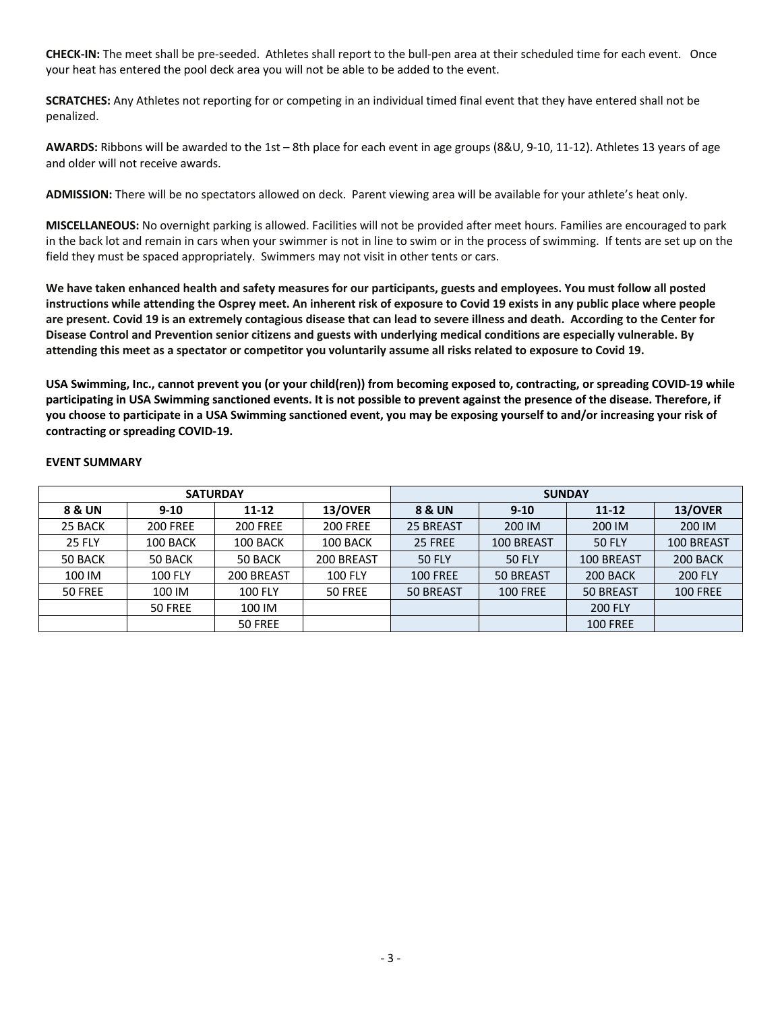**CHECK-IN:** The meet shall be pre-seeded. Athletes shall report to the bull-pen area at their scheduled time for each event. Once your heat has entered the pool deck area you will not be able to be added to the event.

**SCRATCHES:** Any Athletes not reporting for or competing in an individual timed final event that they have entered shall not be penalized.

**AWARDS:** Ribbons will be awarded to the 1st – 8th place for each event in age groups (8&U, 9-10, 11-12). Athletes 13 years of age and older will not receive awards.

**ADMISSION:** There will be no spectators allowed on deck. Parent viewing area will be available for your athlete's heat only.

**MISCELLANEOUS:** No overnight parking is allowed. Facilities will not be provided after meet hours. Families are encouraged to park in the back lot and remain in cars when your swimmer is not in line to swim or in the process of swimming. If tents are set up on the field they must be spaced appropriately. Swimmers may not visit in other tents or cars.

**We have taken enhanced health and safety measures for our participants, guests and employees. You must follow all posted instructions while attending the Osprey meet. An inherent risk of exposure to Covid 19 exists in any public place where people are present. Covid 19 is an extremely contagious disease that can lead to severe illness and death. According to the Center for Disease Control and Prevention senior citizens and guests with underlying medical conditions are especially vulnerable. By attending this meet as a spectator or competitor you voluntarily assume all risks related to exposure to Covid 19.**

**USA Swimming, Inc., cannot prevent you (or your child(ren)) from becoming exposed to, contracting, or spreading COVID-19 while participating in USA Swimming sanctioned events. It is not possible to prevent against the presence of the disease. Therefore, if you choose to participate in a USA Swimming sanctioned event, you may be exposing yourself to and/or increasing your risk of contracting or spreading COVID-19.** 

| <b>SATURDAY</b> |                 |                 |                 | <b>SUNDAY</b>   |                             |                  |                 |  |  |
|-----------------|-----------------|-----------------|-----------------|-----------------|-----------------------------|------------------|-----------------|--|--|
| 8 & UN          | $9-10$          | 11-12           | 13/OVER         | 8 & UN          | $9 - 10$                    | $11 - 12$        | 13/OVER         |  |  |
| 25 BACK         | <b>200 FREE</b> | <b>200 FREE</b> | <b>200 FREE</b> | 25 BREAST       | 200 IM                      | 200 IM<br>200 IM |                 |  |  |
| <b>25 FLY</b>   | 100 BACK        | 100 BACK        | 100 BACK        | 25 FREE         | 100 BREAST                  | <b>50 FLY</b>    | 100 BREAST      |  |  |
| 50 BACK         | 50 BACK         | 50 BACK         | 200 BREAST      | <b>50 FLY</b>   | 100 BREAST<br><b>50 FLY</b> |                  | 200 BACK        |  |  |
| 100 IM          | <b>100 FLY</b>  | 200 BREAST      | <b>100 FLY</b>  | <b>100 FREE</b> | 50 BREAST                   | 200 BACK         | <b>200 FLY</b>  |  |  |
| 50 FREE         | 100 IM          | <b>100 FLY</b>  | 50 FREE         | 50 BREAST       | <b>100 FREE</b>             | 50 BREAST        | <b>100 FREE</b> |  |  |
|                 | 50 FREE         | 100 IM          |                 |                 |                             | <b>200 FLY</b>   |                 |  |  |
|                 |                 | 50 FREE         |                 |                 |                             | <b>100 FREE</b>  |                 |  |  |

## **EVENT SUMMARY**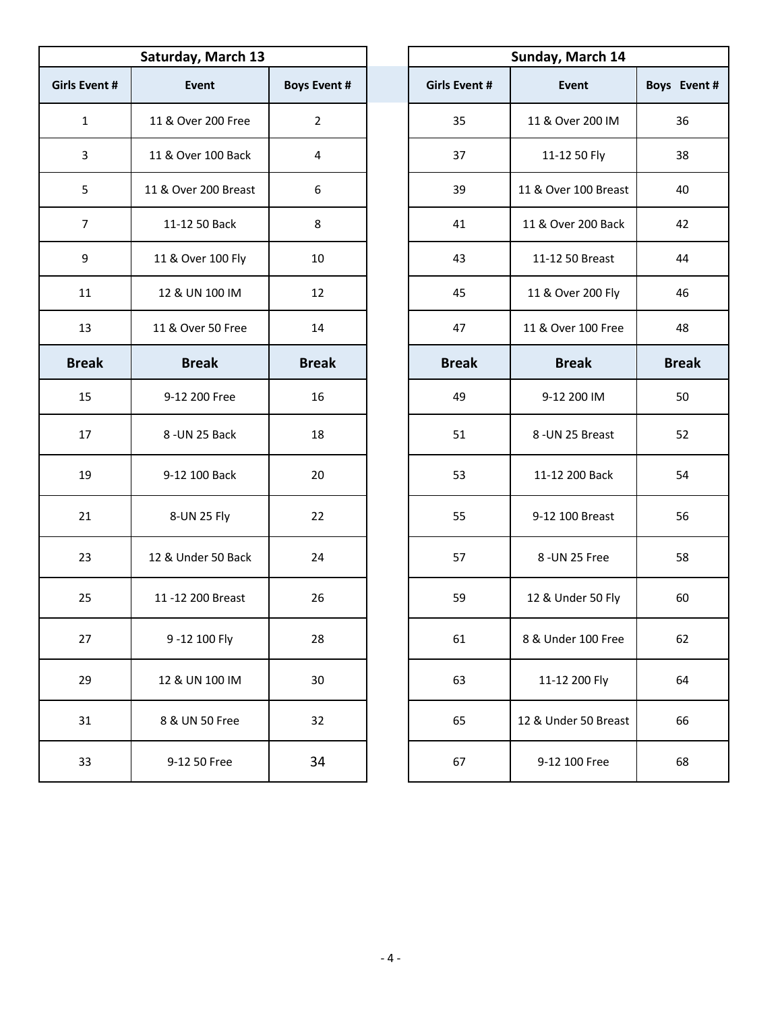| Saturday, March 13   |                      |                     |                      | Sunday, March 14     |              |
|----------------------|----------------------|---------------------|----------------------|----------------------|--------------|
| <b>Girls Event #</b> | Event                | <b>Boys Event #</b> | <b>Girls Event #</b> | <b>Event</b>         | Boys Event # |
| $\mathbf 1$          | 11 & Over 200 Free   | $\overline{2}$      | 35                   | 11 & Over 200 IM     | 36           |
| 3                    | 11 & Over 100 Back   | 4                   | 37                   | 11-12 50 Fly         | 38           |
| 5                    | 11 & Over 200 Breast | 6                   | 39                   | 11 & Over 100 Breast | 40           |
| $\overline{7}$       | 11-12 50 Back        | 8                   | 41                   | 11 & Over 200 Back   | 42           |
| 9                    | 11 & Over 100 Fly    | 10                  | 43                   | 11-12 50 Breast      | 44           |
| 11                   | 12 & UN 100 IM       | 12                  | 45                   | 11 & Over 200 Fly    | 46           |
| 13                   | 11 & Over 50 Free    | 14                  | 47                   | 11 & Over 100 Free   | 48           |
| <b>Break</b>         | <b>Break</b>         | <b>Break</b>        | <b>Break</b>         | <b>Break</b>         | <b>Break</b> |
| 15                   | 9-12 200 Free        | 16                  | 49                   | 9-12 200 IM          | 50           |
| 17                   | 8-UN 25 Back         | 18                  | 51                   | 8-UN 25 Breast       | 52           |
| 19                   | 9-12 100 Back        | 20                  | 53                   | 11-12 200 Back       | 54           |
| 21                   | 8-UN 25 Fly          | 22                  | 55                   | 9-12 100 Breast      | 56           |
| 23                   | 12 & Under 50 Back   | 24                  | 57                   | 8 - UN 25 Free       | 58           |
| 25                   | 11-12 200 Breast     | 26                  | 59                   | 12 & Under 50 Fly    | 60           |
| 27                   | 9-12 100 Fly         | 28                  | 61                   | 8 & Under 100 Free   | 62           |
| 29                   | 12 & UN 100 IM       | 30                  | 63                   | 11-12 200 Fly        | 64           |
| 31                   | 8 & UN 50 Free       | 32                  | 65                   | 12 & Under 50 Breast | 66           |
| 33                   | 9-12 50 Free         | 34                  | 67                   | 9-12 100 Free        | 68           |

| Sunday, March 14     |                      |              |  |  |  |  |  |  |
|----------------------|----------------------|--------------|--|--|--|--|--|--|
| <b>Girls Event #</b> | <b>Event</b>         | Boys Event # |  |  |  |  |  |  |
| 35                   | 11 & Over 200 IM     | 36           |  |  |  |  |  |  |
| 37                   | 11-12 50 Fly         | 38           |  |  |  |  |  |  |
| 39                   | 11 & Over 100 Breast | 40           |  |  |  |  |  |  |
| 41                   | 11 & Over 200 Back   | 42           |  |  |  |  |  |  |
| 43                   | 11-12 50 Breast      | 44           |  |  |  |  |  |  |
| 45                   | 11 & Over 200 Fly    | 46           |  |  |  |  |  |  |
| 47                   | 11 & Over 100 Free   | 48           |  |  |  |  |  |  |
| <b>Break</b>         | <b>Break</b>         | <b>Break</b> |  |  |  |  |  |  |
| 49                   | 9-12 200 IM          | 50           |  |  |  |  |  |  |
| 51                   | 8-UN 25 Breast       | 52           |  |  |  |  |  |  |
| 53                   | 11-12 200 Back       | 54           |  |  |  |  |  |  |
| 55                   | 9-12 100 Breast      | 56           |  |  |  |  |  |  |
| 57                   | 8 - UN 25 Free       | 58           |  |  |  |  |  |  |
| 59                   | 12 & Under 50 Fly    | 60           |  |  |  |  |  |  |
| 61                   | 8 & Under 100 Free   | 62           |  |  |  |  |  |  |
| 63                   | 11-12 200 Fly        | 64           |  |  |  |  |  |  |
| 65                   | 12 & Under 50 Breast | 66           |  |  |  |  |  |  |
| 67                   | 9-12 100 Free        | 68           |  |  |  |  |  |  |